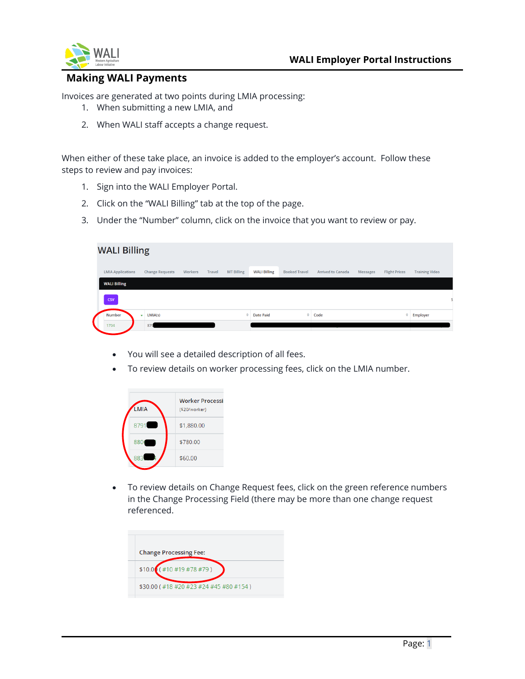

## **Making WALI Payments**

Invoices are generated at two points during LMIA processing:

- 1. When submitting a new LMIA, and
- 2. When WALI staff accepts a change request.

When either of these take place, an invoice is added to the employer's account. Follow these steps to review and pay invoices:

- 1. Sign into the WALI Employer Portal.
- 2. Click on the "WALI Billing" tab at the top of the page.
- 3. Under the "Number" column, click on the invoice that you want to review or pay.

| <b>WALI Billing</b>      |                                     |         |               |                   |                     |                      |                          |          |                      |                       |
|--------------------------|-------------------------------------|---------|---------------|-------------------|---------------------|----------------------|--------------------------|----------|----------------------|-----------------------|
| <b>LMIA Applications</b> | <b>Change Requests</b>              | Workers | <b>Travel</b> | <b>MT Billing</b> | <b>WALI Billing</b> | <b>Booked Travel</b> | <b>Arrived to Canada</b> | Messages | <b>Flight Prices</b> | <b>Training Video</b> |
| <b>WALI Billing</b>      |                                     |         |               |                   |                     |                      |                          |          |                      |                       |
| <b>CSV</b>               |                                     |         |               |                   |                     |                      |                          |          |                      | s                     |
| Number                   | LMIA(s)<br>$\overline{\phantom{a}}$ |         |               | $\Rightarrow$     | <b>Date Paid</b>    |                      | $\angle$ Code            |          |                      | Employer              |
| 1704                     | 879                                 |         |               |                   |                     |                      |                          |          |                      |                       |

- You will see a detailed description of all fees.
- To review details on worker processing fees, click on the LMIA number.



• To review details on Change Request fees, click on the green reference numbers in the Change Processing Field (there may be more than one change request referenced.

| <b>Change Processing Fee:</b>          |
|----------------------------------------|
| $$10.0$ (#10 #19 #78 #79)              |
| \$30.00 (#18 #20 #23 #24 #45 #80 #154) |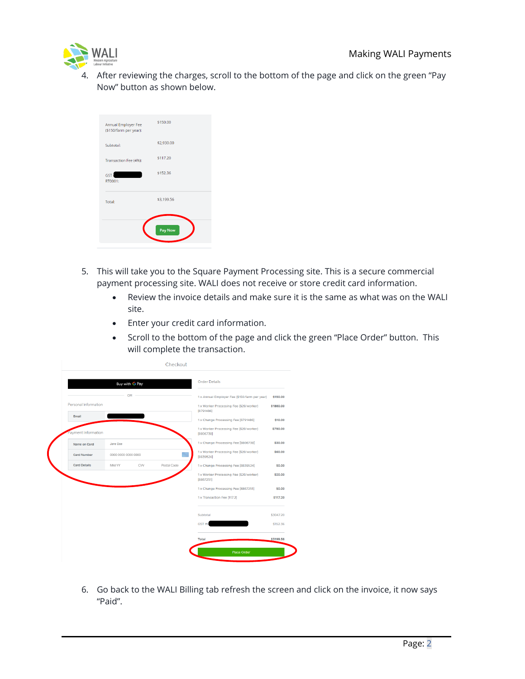

4. After reviewing the charges, scroll to the bottom of the page and click on the green "Pay Now" button as shown below.

| Total:                                        | \$3,199.56<br>Pay Now |
|-----------------------------------------------|-----------------------|
| GST:<br>RT0001:                               | \$152.36              |
| Transaction Fee (4%):                         | \$117.20              |
| Subtotal:                                     | \$2,930.00            |
| Annual Employer Fee<br>(\$150/farm per year): | \$150.00              |

- 5. This will take you to the Square Payment Processing site. This is a secure commercial payment processing site. WALI does not receive or store credit card information.
	- Review the invoice details and make sure it is the same as what was on the WALI site.
	- Enter your credit card information.
	- Scroll to the bottom of the page and click the green "Place Order" button. This will complete the transaction.

|                      | Buy with G Pay      | <b>Order Details</b>                                 |             |                                                      |           |
|----------------------|---------------------|------------------------------------------------------|-------------|------------------------------------------------------|-----------|
|                      | OR                  |                                                      |             | 1 x Annual Employer Fee (\$150/farm per year)        | \$150.00  |
| Personal Information |                     | 1 x Worker Processing Fee (\$20/worker)<br>[8791486] | \$1880,00   |                                                      |           |
| Email                |                     |                                                      |             | 1 x Change Processing Fee [8791486]                  | \$10.00   |
| Payment Information  |                     | 1 x Worker Processing Fee (\$20/worker)<br>[8806738] | \$780,00    |                                                      |           |
| Name on Card         | Jane Doe            |                                                      |             | 1 x Change Processing Fee [8806738]                  | \$30.00   |
| <b>Card Number</b>   | 0000 0000 0000 0000 |                                                      |             | 1 x Worker Processing Fee (\$20/worker)<br>[8839524] | \$60.00   |
| <b>Card Details</b>  | MM/YY               | CVV                                                  | Postal Code | 1 x Change Processing Fee [8839524]                  | \$0.00    |
|                      |                     |                                                      |             | 1 x Worker Processing Fee (\$20/worker)<br>[8867251] | \$20.00   |
|                      |                     |                                                      |             | 1 x Change Processing Fee [8867251]                  | \$0.00    |
|                      |                     |                                                      |             | 1 x Transaction Fee [117.2]                          | \$117.20  |
|                      |                     |                                                      |             | Subtotal                                             | \$3047.20 |
|                      |                     |                                                      |             | GST #8                                               | \$152.36  |
|                      |                     |                                                      |             |                                                      |           |

6. Go back to the WALI Billing tab refresh the screen and click on the invoice, it now says "Paid".